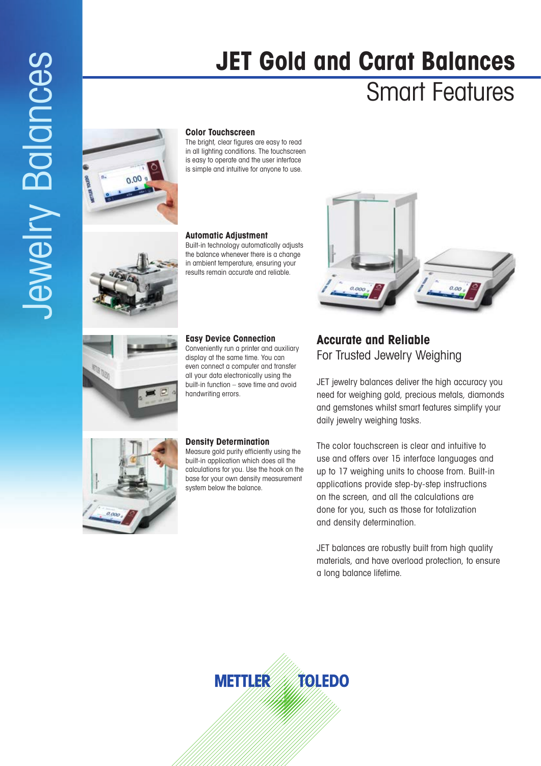## **JET Gold and Carat Balances**

## Smart Features



The bright, clear figures are easy to read in all lighting conditions. The touchscreen is easy to operate and the user interface is simple and intuitive for anyone to use.

#### **Automatic Adjustment**

Built-in technology automatically adjusts the balance whenever there is a change in ambient temperature, ensuring your results remain accurate and reliable.

### **Easy Device Connection** Conveniently run a printer and auxiliary

display at the same time. You can even connect a computer and transfer all your data electronically using the built-in function – save time and avoid handwriting errors.

**Density Determination** Measure gold purity efficiently using the built-in application which does all the calculations for you. Use the hook on the base for your own density measurement system below the balance.



### **Accurate and Reliable** For Trusted Jewelry Weighing

JET jewelry balances deliver the high accuracy you need for weighing gold, precious metals, diamonds and gemstones whilst smart features simplify your daily jewelry weighing tasks.

The color touchscreen is clear and intuitive to use and offers over 15 interface languages and up to 17 weighing units to choose from. Built-in applications provide step-by-step instructions on the screen, and all the calculations are done for you, such as those for totalization and density determination.

JET balances are robustly built from high quality materials, and have overload protection, to ensure a long balance lifetime.